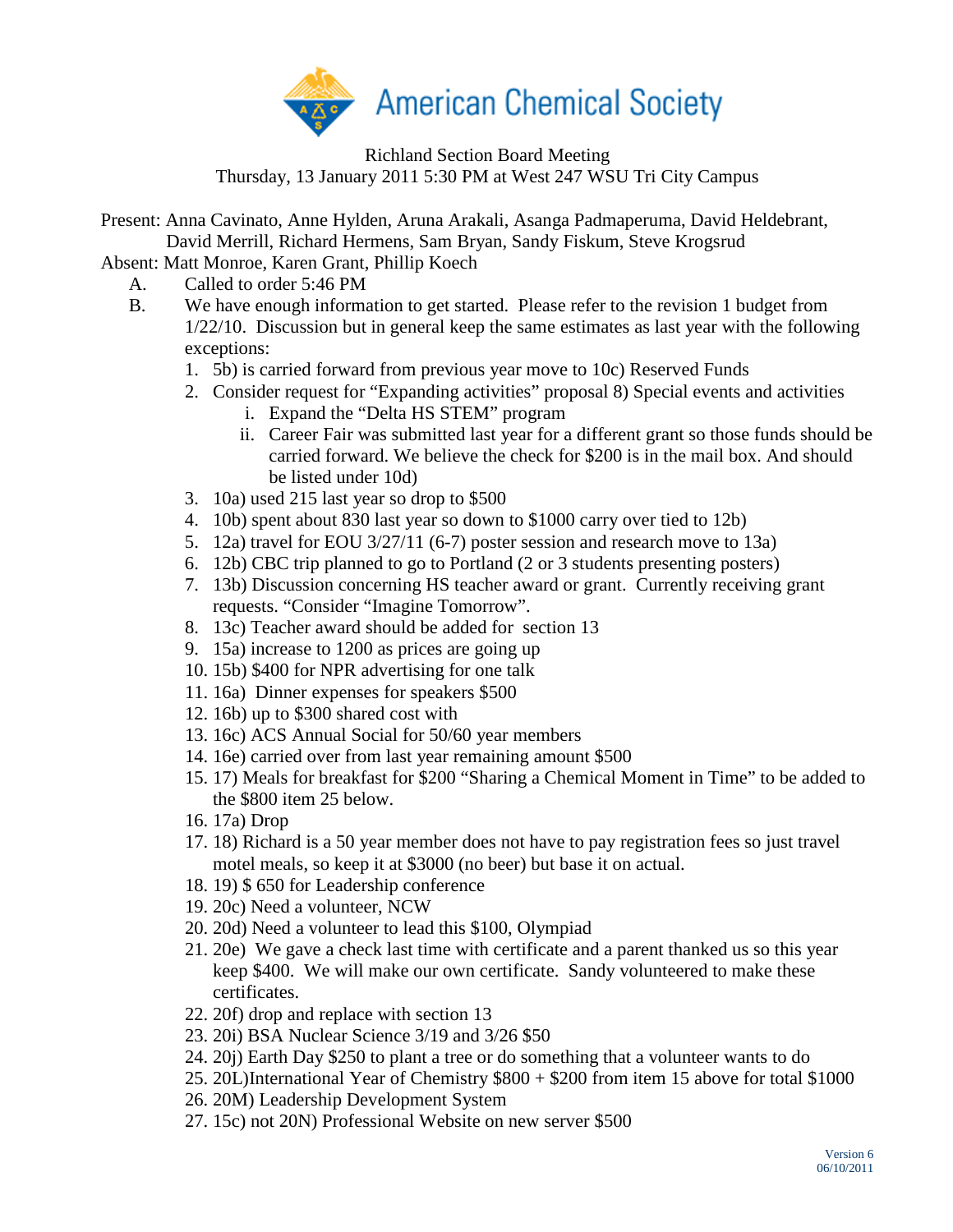

Richland Section Board Meeting Thursday, 13 January 2011 5:30 PM at West 247 WSU Tri City Campus

Present: Anna Cavinato, Anne Hylden, Aruna Arakali, Asanga Padmaperuma, David Heldebrant, David Merrill, Richard Hermens, Sam Bryan, Sandy Fiskum, Steve Krogsrud

Absent: Matt Monroe, Karen Grant, Phillip Koech

- A. Called to order 5:46 PM
- B. We have enough information to get started. Please refer to the revision 1 budget from 1/22/10. Discussion but in general keep the same estimates as last year with the following exceptions:
	- 1. 5b) is carried forward from previous year move to 10c) Reserved Funds
	- 2. Consider request for "Expanding activities" proposal 8) Special events and activities
		- i. Expand the "Delta HS STEM" program
		- ii. Career Fair was submitted last year for a different grant so those funds should be carried forward. We believe the check for \$200 is in the mail box. And should be listed under 10d)
	- 3. 10a) used 215 last year so drop to \$500
	- 4. 10b) spent about 830 last year so down to \$1000 carry over tied to 12b)
	- 5. 12a) travel for EOU 3/27/11 (6-7) poster session and research move to 13a)
	- 6. 12b) CBC trip planned to go to Portland (2 or 3 students presenting posters)
	- 7. 13b) Discussion concerning HS teacher award or grant. Currently receiving grant requests. "Consider "Imagine Tomorrow".
	- 8. 13c) Teacher award should be added for section 13
	- 9. 15a) increase to 1200 as prices are going up
	- 10. 15b) \$400 for NPR advertising for one talk
	- 11. 16a) Dinner expenses for speakers \$500
	- 12. 16b) up to \$300 shared cost with
	- 13. 16c) ACS Annual Social for 50/60 year members
	- 14. 16e) carried over from last year remaining amount \$500
	- 15. 17) Meals for breakfast for \$200 "Sharing a Chemical Moment in Time" to be added to the \$800 item 25 below.
	- 16. 17a) Drop
	- 17. 18) Richard is a 50 year member does not have to pay registration fees so just travel motel meals, so keep it at \$3000 (no beer) but base it on actual.
	- 18. 19) \$ 650 for Leadership conference
	- 19. 20c) Need a volunteer, NCW
	- 20. 20d) Need a volunteer to lead this \$100, Olympiad
	- 21. 20e) We gave a check last time with certificate and a parent thanked us so this year keep \$400. We will make our own certificate. Sandy volunteered to make these certificates.
	- 22. 20f) drop and replace with section 13
	- 23. 20i) BSA Nuclear Science 3/19 and 3/26 \$50
	- 24. 20j) Earth Day \$250 to plant a tree or do something that a volunteer wants to do
	- 25. 20L)International Year of Chemistry \$800 + \$200 from item 15 above for total \$1000
	- 26. 20M) Leadership Development System
	- 27. 15c) not 20N) Professional Website on new server \$500